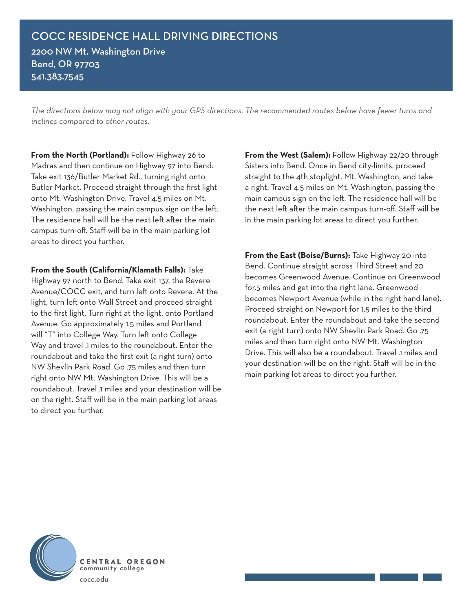*The directions below may not align with your GPS directions. The recommended routes below have fewer turns and inclines compared to other routes.* 

**From the North (Portland):** Follow Highway 26 to Madras and then continue on Highway 97 into Bend. Take exit 136/Butler Market Rd., turning right onto Butler Market. Proceed straight through the first light onto Mt. Washington Drive. Travel 4.5 miles on Mt. Washington, passing the main campus sign on the left. The residence hall will be the next left after the main campus turn-off. Staff will be in the main parking lot areas to direct you further.

**From the South (California/Klamath Falls):** Take Highway 97 north to Bend. Take exit 137, the Revere Avenue/COCC exit, and turn left onto Revere. At the light, turn left onto Wall Street and proceed straight to the first light. Turn right at the light, onto Portland Avenue. Go approximately 1.5 miles and Portland will "T" into College Way. Turn left onto College Way and travel .1 miles to the roundabout. Enter the roundabout and take the first exit (a right turn) onto NW Shevlin Park Road. Go .75 miles and then turn right onto NW Mt. Washington Drive. This will be a roundabout. Travel .1 miles and your destination will be on the right. Staff will be in the main parking lot areas to direct you further.

**From the West (Salem):** Follow Highway 22/20 through Sisters into Bend. Once in Bend city-limits, proceed straight to the 4th stoplight, Mt. Washington, and take a right. Travel 4.5 miles on Mt. Washington, passing the main campus sign on the left. The residence hall will be the next left after the main campus turn-off. Staff will be in the main parking lot areas to direct you further.

**From the East (Boise/Burns):** Take Highway 20 into Bend. Continue straight across Third Street and 20 becomes Greenwood Avenue. Continue on Greenwood for.5 miles and get into the right lane. Greenwood becomes Newport Avenue (while in the right hand lane). Proceed straight on Newport for 1.5 miles to the third roundabout. Enter the roundabout and take the second exit (a right turn) onto NW Shevlin Park Road. Go .75 miles and then turn right onto NW Mt. Washington Drive. This will also be a roundabout. Travel .1 miles and your destination will be on the right. Staff will be in the main parking lot areas to direct you further.



CENTRAL OREGON community college cocc.edu